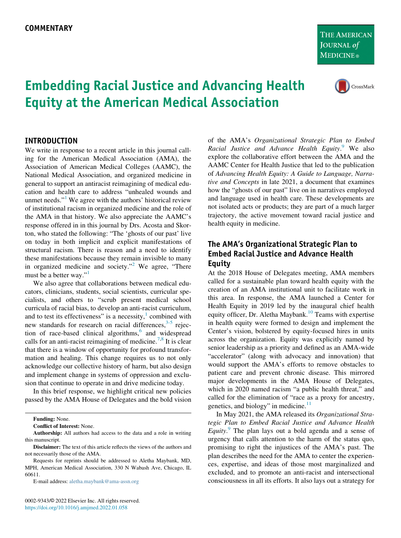THE AMERICAN **JOURNAL of MEDICINE**®



# Embedding Racial Justice and Advancing Health Equity at the American Medical Association

#### INTRODUCTION

We write in response to a recent article in this journal calling for the American Medical Association (AMA), the Association of American Medical Colleges (AAMC), the National Medical Association, and organized medicine in general to support an antiracist reimagining of medical education and health care to address "unhealed wounds and unmet needs."<sup>[1](#page-2-0)</sup> We agree with the authors' historical review of institutional racism in organized medicine and the role of the AMA in that history. We also appreciate the AAMC's response offered in in this journal by Drs. Acosta and Skorton, who stated the following: "The 'ghosts of our past' live on today in both implicit and explicit manifestations of structural racism. There is reason and a need to identify these manifestations because they remain invisible to many in organized medicine and society."<sup>[2](#page-2-1)</sup> We agree, "There must be a better way."

We also agree that collaborations between medical educators, clinicians, students, social scientists, curricular specialists, and others to "scrub present medical school curricula of racial bias, to develop an anti-racist curriculum, and to test its effectiveness" is a necessity, $\frac{1}{1}$  $\frac{1}{1}$  $\frac{1}{1}$  combined with new standards for research on racial differences, $3-5$  rejection of race-based clinical algorithms, $6$  and widespread calls for an anti-racist reimagining of medicine.<sup>[7,](#page-2-4)[8](#page-2-5)</sup> It is clear that there is a window of opportunity for profound transformation and healing. This change requires us to not only acknowledge our collective history of harm, but also design and implement change in systems of oppression and exclusion that continue to operate in and drive medicine today.

In this brief response, we highlight critical new policies passed by the AMA House of Delegates and the bold vision

Funding: None.

Conflict of Interest: None.

Authorship: All authors had access to the data and a role in writing this manuscript.

E-mail address: [aletha.maybank@ama-assn.org](mailto:aletha.maybank@ama-assn.org)

of the AMA's Organizational Strategic Plan to Embed Racial Justice and Advance Health Equity.<sup>[9](#page-2-6)</sup> We also explore the collaborative effort between the AMA and the AAMC Center for Health Justice that led to the publication of Advancing Health Equity: A Guide to Language, Narrative and Concepts in late 2021, a document that examines how the "ghosts of our past" live on in narratives employed and language used in health care. These developments are not isolated acts or products; they are part of a much larger trajectory, the active movement toward racial justice and health equity in medicine.

## The AMA's Organizational Strategic Plan to Embed Racial Justice and Advance Health Equity

At the 2018 House of Delegates meeting, AMA members called for a sustainable plan toward health equity with the creation of an AMA institutional unit to facilitate work in this area. In response, the AMA launched a Center for Health Equity in 2019 led by the inaugural chief health equity officer, Dr. Aletha Maybank.<sup>[10](#page-2-7)</sup> Teams with expertise in health equity were formed to design and implement the Center's vision, bolstered by equity-focused hires in units across the organization. Equity was explicitly named by senior leadership as a priority and defined as an AMA-wide "accelerator" (along with advocacy and innovation) that would support the AMA's efforts to remove obstacles to patient care and prevent chronic disease. This mirrored major developments in the AMA House of Delegates, which in 2020 named racism "a public health threat," and called for the elimination of "race as a proxy for ancestry, genetics, and biology" in medicine. $11$ 

In May 2021, the AMA released its Organizational Strategic Plan to Embed Racial Justice and Advance Health  $Equity$ .<sup>[9](#page-2-6)</sup> The plan lays out a bold agenda and a sense of urgency that calls attention to the harm of the status quo, promising to right the injustices of the AMA's past. The plan describes the need for the AMA to center the experiences, expertise, and ideas of those most marginalized and excluded, and to promote an anti-racist and intersectional consciousness in all its efforts. It also lays out a strategy for

Disclaimer: The text of this article reflects the views of the authors and not necessarily those of the AMA.

Requests for reprints should be addressed to Aletha Maybank, MD, MPH, American Medical Association, 330 N Wabash Ave, Chicago, IL 60611.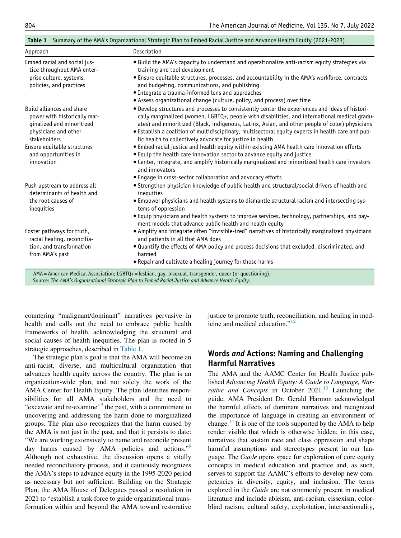<span id="page-1-0"></span>

| Approach                                                                                                       | Description                                                                                                                                                                                                                                                                                                                                                                                              |
|----------------------------------------------------------------------------------------------------------------|----------------------------------------------------------------------------------------------------------------------------------------------------------------------------------------------------------------------------------------------------------------------------------------------------------------------------------------------------------------------------------------------------------|
| Embed racial and social jus-<br>tice throughout AMA enter-                                                     | · Build the AMA's capacity to understand and operationalize anti-racism equity strategies via<br>training and tool development                                                                                                                                                                                                                                                                           |
| prise culture, systems,<br>policies, and practices                                                             | • Ensure equitable structures, processes, and accountability in the AMA's workforce, contracts<br>and budgeting, communications, and publishing                                                                                                                                                                                                                                                          |
|                                                                                                                | • Integrate a trauma-informed lens and approaches                                                                                                                                                                                                                                                                                                                                                        |
|                                                                                                                | • Assess organizational change (culture, policy, and process) over time                                                                                                                                                                                                                                                                                                                                  |
| Build alliances and share<br>power with historically mar-<br>ginalized and minoritized<br>physicians and other | . Develop structures and processes to consistently center the experiences and ideas of histori-<br>cally marginalized (women, LGBTQ+, people with disabilities, and international medical gradu-<br>ates) and minoritized (Black, indigenous, Latinx, Asian, and other people of color) physicians<br>• Establish a coalition of multidisciplinary, multisectoral equity experts in health care and pub- |
| stakeholders                                                                                                   | lic health to collectively advocate for justice in health                                                                                                                                                                                                                                                                                                                                                |
| Ensure equitable structures<br>and opportunities in<br>innovation                                              | . Embed racial justice and health equity within existing AMA health care innovation efforts<br>• Equip the health care innovation sector to advance equity and justice                                                                                                                                                                                                                                   |
|                                                                                                                | • Center, integrate, and amplify historically marginalized and minoritized health care investors<br>and innovators                                                                                                                                                                                                                                                                                       |
|                                                                                                                | • Engage in cross-sector collaboration and advocacy efforts                                                                                                                                                                                                                                                                                                                                              |
| Push upstream to address all<br>determinants of health and                                                     | • Strengthen physician knowledge of public health and structural/social drivers of health and<br>inequities                                                                                                                                                                                                                                                                                              |
| the root causes of<br>inequities                                                                               | • Empower physicians and health systems to dismantle structural racism and intersecting sys-<br>tems of oppression                                                                                                                                                                                                                                                                                       |
|                                                                                                                | • Equip physicians and health systems to improve services, technology, partnerships, and pay-<br>ment models that advance public health and health equity                                                                                                                                                                                                                                                |
| Foster pathways for truth,<br>racial healing, reconcilia-                                                      | • Amplify and integrate often "invisible-ized" narratives of historically marginalized physicians<br>and patients in all that AMA does                                                                                                                                                                                                                                                                   |
| tion, and transformation<br>from AMA's past                                                                    | . Quantify the effects of AMA policy and process decisions that excluded, discriminated, and<br>harmed                                                                                                                                                                                                                                                                                                   |
|                                                                                                                | • Repair and cultivate a healing journey for those harms                                                                                                                                                                                                                                                                                                                                                 |

Table 1 Summary of the AMA's Organizational Strategic Plan to Embed Racial Justice and Advance Health Equity (2021-2023)

Source: The AMA's Organizational Strategic Plan to Embed Racial Justice and Advance Health Equity.

countering "malignant/dominant" narratives pervasive in health and calls out the need to embrace public health frameworks of health, acknowledging the structural and social causes of health inequities. The plan is rooted in 5 strategic approaches, described in [Table 1](#page-1-0).

The strategic plan's goal is that the AMA will become an anti-racist, diverse, and multicultural organization that advances health equity across the country. The plan is an organization-wide plan, and not solely the work of the AMA Center for Health Equity. The plan identifies responsibilities for all AMA stakeholders and the need to "excavate and re-examine"<sup>[9](#page-2-6)</sup> the past, with a commitment to uncovering and addressing the harm done to marginalized groups. The plan also recognizes that the harm caused by the AMA is not just in the past, and that it persists to date: "We are working extensively to name and reconcile present day harms caused by AMA policies and actions."<sup>[9](#page-2-6)</sup> Although not exhaustive, the discussion opens a vitally needed reconciliatory process, and it cautiously recognizes the AMA's steps to advance equity in the 1995-2020 period as necessary but not sufficient. Building on the Strategic Plan, the AMA House of Delegates passed a resolution in 2021 to "establish a task force to guide organizational transformation within and beyond the AMA toward restorative

justice to promote truth, reconciliation, and healing in medicine and medical education."[12](#page-2-9)

## Words and Actions: Naming and Challenging Harmful Narratives

The AMA and the AAMC Center for Health Justice published Advancing Health Equity: A Guide to Language, Narrative and Concepts in October  $2021$ .<sup>13</sup> Launching the guide, AMA President Dr. Gerald Harmon acknowledged the harmful effects of dominant narratives and recognized the importance of language in creating an environment of change.<sup>14</sup> It is one of the tools supported by the AMA to help render visible that which is otherwise hidden; in this case, narratives that sustain race and class oppression and shape harmful assumptions and stereotypes present in our language. The Guide opens space for exploration of core equity concepts in medical education and practice and, as such, serves to support the AAMC's efforts to develop new competencies in diversity, equity, and inclusion. The terms explored in the Guide are not commonly present in medical literature and include ableism, anti-racism, cissexism, colorblind racism, cultural safety, exploitation, intersectionality,